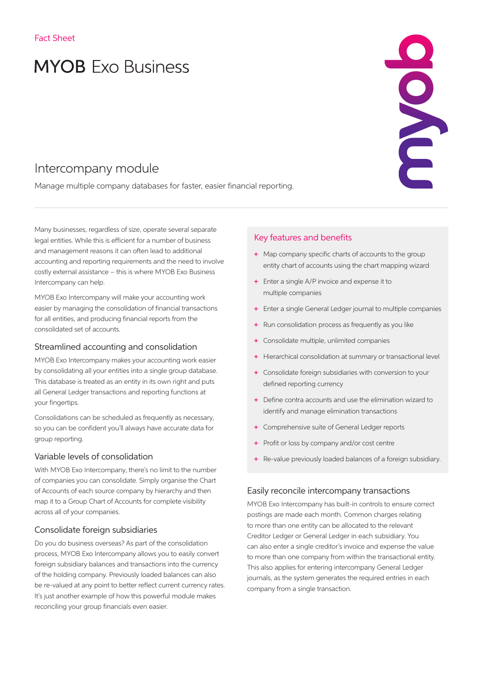# **MYOB** Exo Business

# Intercompany module

Manage multiple company databases for faster, easier financial reporting.

Many businesses, regardless of size, operate several separate legal entities. While this is efficient for a number of business and management reasons it can often lead to additional accounting and reporting requirements and the need to involve costly external assistance – this is where MYOB Exo Business Intercompany can help.

MYOB Exo Intercompany will make your accounting work easier by managing the consolidation of financial transactions for all entities, and producing financial reports from the consolidated set of accounts.

#### Streamlined accounting and consolidation

MYOB Exo Intercompany makes your accounting work easier by consolidating all your entities into a single group database. This database is treated as an entity in its own right and puts all General Ledger transactions and reporting functions at your fingertips.

Consolidations can be scheduled as frequently as necessary, so you can be confident you'll always have accurate data for group reporting.

#### Variable levels of consolidation

With MYOB Exo Intercompany, there's no limit to the number of companies you can consolidate. Simply organise the Chart of Accounts of each source company by hierarchy and then map it to a Group Chart of Accounts for complete visibility across all of your companies.

#### Consolidate foreign subsidiaries

Do you do business overseas? As part of the consolidation process, MYOB Exo Intercompany allows you to easily convert foreign subsidiary balances and transactions into the currency of the holding company. Previously loaded balances can also be re-valued at any point to better reflect current currency rates. It's just another example of how this powerful module makes reconciling your group financials even easier.

#### Key features and benefits

+ Map company specific charts of accounts to the group entity chart of accounts using the chart mapping wizard

ENDE

- + Enter a single A/P invoice and expense it to multiple companies
- + Enter a single General Ledger journal to multiple companies
- + Run consolidation process as frequently as you like
- + Consolidate multiple, unlimited companies
- + Hierarchical consolidation at summary or transactional level
- + Consolidate foreign subsidiaries with conversion to your defined reporting currency
- + Define contra accounts and use the elimination wizard to identify and manage elimination transactions
- + Comprehensive suite of General Ledger reports
- + Profit or loss by company and/or cost centre
- + Re-value previously loaded balances of a foreign subsidiary.

#### Easily reconcile intercompany transactions

MYOB Exo Intercompany has built-in controls to ensure correct postings are made each month. Common charges relating to more than one entity can be allocated to the relevant Creditor Ledger or General Ledger in each subsidiary. You can also enter a single creditor's invoice and expense the value to more than one company from within the transactional entity. This also applies for entering intercompany General Ledger journals, as the system generates the required entries in each company from a single transaction.